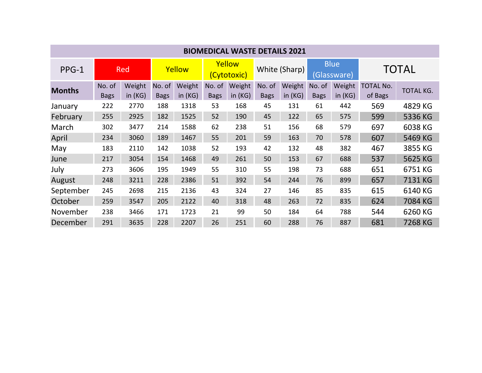| <b>BIOMEDICAL WASTE DETAILS 2021</b> |                       |                  |                       |                  |                       |                     |                       |                  |                            |                  |                             |           |
|--------------------------------------|-----------------------|------------------|-----------------------|------------------|-----------------------|---------------------|-----------------------|------------------|----------------------------|------------------|-----------------------------|-----------|
| PPG-1                                | Red                   |                  | Yellow                |                  | Yellow<br>(Cytotoxic) |                     | White (Sharp)         |                  | <b>Blue</b><br>(Glassware) |                  | <b>TOTAL</b>                |           |
| <b>Months</b>                        | No. of<br><b>Bags</b> | Weight<br>in(KG) | No. of<br><b>Bags</b> | Weight<br>in(KG) | No. of<br><b>Bags</b> | Weight<br>in $(KG)$ | No. of<br><b>Bags</b> | Weight<br>in(KG) | No. of<br><b>Bags</b>      | Weight<br>in(KG) | <b>TOTAL No.</b><br>of Bags | TOTAL KG. |
| January                              | 222                   | 2770             | 188                   | 1318             | 53                    | 168                 | 45                    | 131              | 61                         | 442              | 569                         | 4829 KG   |
| February                             | 255                   | 2925             | 182                   | 1525             | 52                    | 190                 | 45                    | 122              | 65                         | 575              | 599                         | 5336 KG   |
| March                                | 302                   | 3477             | 214                   | 1588             | 62                    | 238                 | 51                    | 156              | 68                         | 579              | 697                         | 6038 KG   |
| April                                | 234                   | 3060             | 189                   | 1467             | 55                    | 201                 | 59                    | 163              | 70                         | 578              | 607                         | 5469 KG   |
| May                                  | 183                   | 2110             | 142                   | 1038             | 52                    | 193                 | 42                    | 132              | 48                         | 382              | 467                         | 3855 KG   |
| June                                 | 217                   | 3054             | 154                   | 1468             | 49                    | 261                 | 50                    | 153              | 67                         | 688              | 537                         | 5625 KG   |
| July                                 | 273                   | 3606             | 195                   | 1949             | 55                    | 310                 | 55                    | 198              | 73                         | 688              | 651                         | 6751 KG   |
| August                               | 248                   | 3211             | 228                   | 2386             | 51                    | 392                 | 54                    | 244              | 76                         | 899              | 657                         | 7131 KG   |
| September                            | 245                   | 2698             | 215                   | 2136             | 43                    | 324                 | 27                    | 146              | 85                         | 835              | 615                         | 6140 KG   |
| October                              | 259                   | 3547             | 205                   | 2122             | 40                    | 318                 | 48                    | 263              | 72                         | 835              | 624                         | 7084 KG   |
| November                             | 238                   | 3466             | 171                   | 1723             | 21                    | 99                  | 50                    | 184              | 64                         | 788              | 544                         | 6260 KG   |
| December                             | 291                   | 3635             | 228                   | 2207             | 26                    | 251                 | 60                    | 288              | 76                         | 887              | 681                         | 7268 KG   |